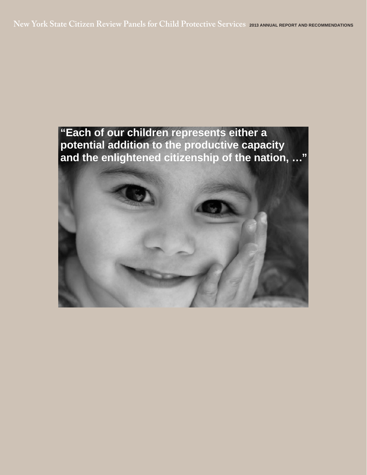**New York State Citizen Review Panels for Child Protective Services 2013 ANNUAL REPORT AND RECOMMENDATIONS**

# **"Each of our children represents either a potential addition to the productive capacity and the enlightened citizenship of the nation, …"**

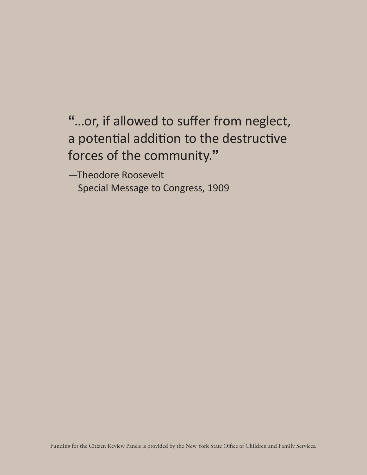**"**...or, if allowed to suffer from neglect, a potential addition to the destructive forces of the community.**"**

—Theodore Roosevelt Special Message to Congress, 1909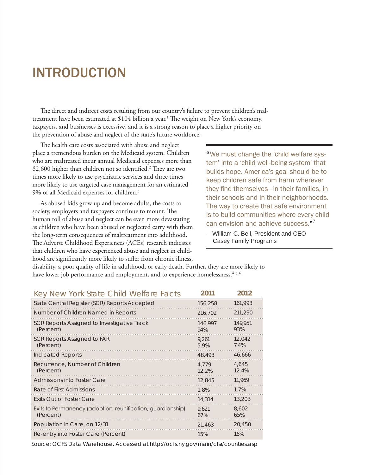# INTRODUCTION

The direct and indirect costs resulting from our country's failure to prevent children's maltreatment have been estimated at \$104 billion a year.<sup>1</sup> The weight on New York's economy, taxpayers, and businesses is excessive, and it is a strong reason to place a higher priority on the prevention of abuse and neglect of the state's future workforce.

The health care costs associated with abuse and neglect place a tremendous burden on the Medicaid system. Children who are maltreated incur annual Medicaid expenses more than \$2,600 higher than children not so identified.<sup>2</sup> They are two times more likely to use psychiatric services and three times more likely to use targeted case management for an estimated 9% of all Medicaid expenses for children.3

As abused kids grow up and become adults, the costs to society, employers and taxpayers continue to mount. The human toll of abuse and neglect can be even more devastating as children who have been abused or neglected carry with them the long-term consequences of maltreatment into adulthood. The Adverse Childhood Experiences (ACEs) research indicates that children who have experienced abuse and neglect in childhood are significantly more likely to suffer from chronic illness,

**"**We must change the 'child welfare system' into a 'child well-being system' that builds hope. America's goal should be to keep children safe from harm wherever they find themselves—in their families, in their schools and in their neighborhoods. The way to create that safe environment is to build communities where every child can envision and achieve success.**"**<sup>7</sup>

—William C. Bell, President and CEO Casey Family Programs

disability, a poor quality of life in adulthood, or early death. Further, they are more likely to have lower job performance and employment, and to experience homelessness.<sup>456</sup>

| Key New York State Child Welfare Facts                                   | 2011           | 2012           |
|--------------------------------------------------------------------------|----------------|----------------|
| State Central Register (SCR) Reports Accepted                            | 156,258        | 161,993        |
| Number of Children Named in Reports                                      | 216,702        | 211,290        |
| SCR Reports Assigned to Investigative Track<br>(Percent)                 | 146,997<br>94% | 149,951<br>93% |
| SCR Reports Assigned to FAR<br>(Percent)                                 | 9.261<br>5.9%  | 12,042<br>7.4% |
| Indicated Reports                                                        | 48,493         | 46,666         |
| Recurrence, Number of Children<br>(Percent)                              | 4.779<br>12.2% | 4.645<br>12.4% |
| Admissions into Foster Care                                              | 12,845         | 11.969         |
| Rate of First Admissions                                                 | 1.8%           | 1.7%           |
| <b>Exits Out of Foster Care</b>                                          | 14,314         | 13,203         |
| Exits to Permanency (adoption, reunification, guardianship)<br>(Percent) | 9.621<br>67%   | 8,602<br>65%   |
| Population in Care, on 12/31                                             | 21,463         | 20,450         |
| Re-entry into Foster Care (Percent)                                      | 15%            | 16%            |

Source: OCFS Data Warehouse. Accessed at<http://ocfs.ny.gov/main/cfsr/counties.asp>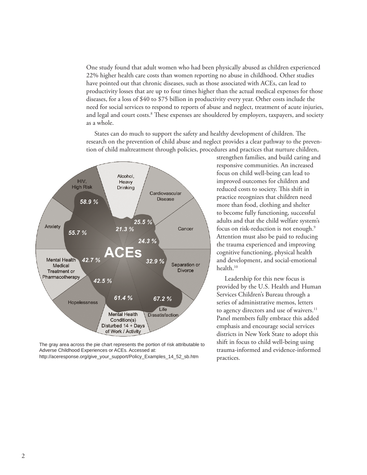One study found that adult women who had been physically abused as children experienced 22% higher health care costs than women reporting no abuse in childhood. Other studies have pointed out that chronic diseases, such as those associated with ACEs, can lead to productivity losses that are up to four times higher than the actual medical expenses for those diseases, for a loss of \$40 to \$75 billion in productivity every year. Other costs include the need for social services to respond to reports of abuse and neglect, treatment of acute injuries, and legal and court costs.<sup>8</sup> These expenses are shouldered by employers, taxpayers, and society as a whole.

States can do much to support the safety and healthy development of children. The research on the prevention of child abuse and neglect provides a clear pathway to the prevention of child maltreatment through policies, procedures and practices that nurture children,



The gray area across the pie chart represents the portion of risk attributable to Adverse Childhood Experiences or ACEs. Accessed at: http://aceresponse.org/give\_your\_support/Policy\_Examples\_14\_52\_sb.htm

strengthen families, and build caring and responsive communities. An increased focus on child well-being can lead to improved outcomes for children and reduced costs to society. This shift in practice recognizes that children need more than food, clothing and shelter to become fully functioning, successful adults and that the child welfare system's focus on risk-reduction is not enough.9 Attention must also be paid to reducing the trauma experienced and improving cognitive functioning, physical health and development, and social-emotional health.<sup>10</sup>

Leadership for this new focus is provided by the U.S. Health and Human Services Children's Bureau through a series of administrative memos, letters to agency directors and use of waivers.<sup>11</sup> Panel members fully embrace this added emphasis and encourage social services districts in New York State to adopt this shift in focus to child well-being using trauma-informed and evidence-informed practices.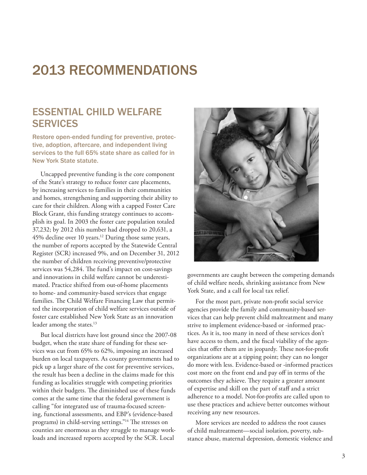# 2013 RECOMMENDATIONS

## ESSENTIAL CHILD WELFARE SERVICES

Restore open-ended funding for preventive, protective, adoption, aftercare, and independent living services to the full 65% state share as called for in New York State statute.

Uncapped preventive funding is the core component of the State's strategy to reduce foster care placements, by increasing services to families in their communities and homes, strengthening and supporting their ability to care for their children. Along with a capped Foster Care Block Grant, this funding strategy continues to accomplish its goal. In 2003 the foster care population totaled 37,232; by 2012 this number had dropped to 20,631, a 45% decline over 10 years.<sup>12</sup> During those same years, the number of reports accepted by the Statewide Central Register (SCR) increased 9%, and on December 31, 2012 the number of children receiving preventive/protective services was 54,284. The fund's impact on cost-savings and innovations in child welfare cannot be underestimated. Practice shifted from out-of-home placements to home- and community-based services that engage families. The Child Welfare Financing Law that permitted the incorporation of child welfare services outside of foster care established New York State as an innovation leader among the states.<sup>13</sup>

But local districts have lost ground since the 2007-08 budget, when the state share of funding for these services was cut from 65% to 62%, imposing an increased burden on local taxpayers. As county governments had to pick up a larger share of the cost for preventive services, the result has been a decline in the claims made for this funding as localities struggle with competing priorities within their budgets. The diminished use of these funds comes at the same time that the federal government is calling "for integrated use of trauma-focused screening, functional assessments, and EBP's (evidence-based programs) in child-serving settings."14 The stresses on counties are enormous as they struggle to manage workloads and increased reports accepted by the SCR. Local



governments are caught between the competing demands of child welfare needs, shrinking assistance from New York State, and a call for local tax relief.

For the most part, private non-profit social service agencies provide the family and community-based services that can help prevent child maltreatment and many strive to implement evidence-based or -informed practices. As it is, too many in need of these services don't have access to them, and the fiscal viability of the agencies that offer them are in jeopardy. These not-for-profit organizations are at a tipping point; they can no longer do more with less. Evidence-based or -informed practices cost more on the front end and pay off in terms of the outcomes they achieve. They require a greater amount of expertise and skill on the part of staff and a strict adherence to a model. Not-for-profits are called upon to use these practices and achieve better outcomes without receiving any new resources.

More services are needed to address the root causes of child maltreatment—social isolation, poverty, substance abuse, maternal depression, domestic violence and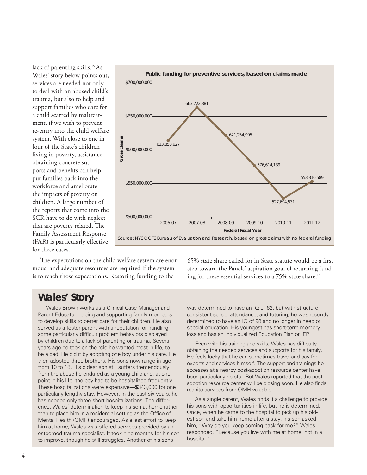lack of parenting skills.<sup>15</sup> As Wales' story below points out, services are needed not only to deal with an abused child's trauma, but also to help and support families who care for a child scarred by maltreatment, if we wish to prevent re-entry into the child welfare system. With close to one in four of the State's children living in poverty, assistance obtaining concrete supports and benefits can help put families back into the workforce and ameliorate the impacts of poverty on children. A large number of the reports that come into the SCR have to do with neglect that are poverty related. The Family Assessment Response (FAR) is particularly effective for these cases.



The expectations on the child welfare system are enormous, and adequate resources are required if the system is to reach those expectations. Restoring funding to the

65% state share called for in State statute would be a first step toward the Panels' aspiration goal of returning funding for these essential services to a 75% state share.<sup>16</sup>

# **Wales' Story**

Wales Brown works as a Clinical Case Manager and Parent Educator helping and supporting family members to develop skills to better care for their children. He also served as a foster parent with a reputation for handling some particularly difficult problem behaviors displayed by children due to a lack of parenting or trauma. Several years ago he took on the role he wanted most in life, to be a dad. He did it by adopting one boy under his care. He then adopted three brothers. His sons now range in age from 10 to 18. His oldest son still suffers tremendously from the abuse he endured as a young child and, at one point in his life, the boy had to be hospitalized frequently. These hospitalizations were expensive—\$343,000 for one particularly lengthy stay. However, in the past six years, he has needed only three short hospitalizations. The difference: Wales' determination to keep his son at home rather than to place him in a residential setting as the Office of Mental Health (OMH) encouraged. As a last effort to keep him at home, Wales was offered services provided by an esteemed trauma specialist. It took nine months for his son to improve, though he still struggles. Another of his sons

was determined to have an IQ of 62, but with structure, consistent school attendance, and tutoring, he was recently determined to have an IQ of 98 and no longer in need of special education. His youngest has short-term memory loss and has an Individualized Education Plan or IEP.

Even with his training and skills, Wales has difficulty obtaining the needed services and supports for his family. He feels lucky that he can sometimes travel and pay for experts and services himself. The support and trainings he accesses at a nearby post-adoption resource center have been particularly helpful. But Wales reported that the postadoption resource center will be closing soon. He also finds respite services from OMH valuable.

As a single parent, Wales finds it a challenge to provide his sons with opportunities in life, but he is determined. Once, when he came to the hospital to pick up his oldest son and take him home after a stay, his son asked him, "Why do you keep coming back for me?" Wales responded, "Because you live with me at home, not in a hospital."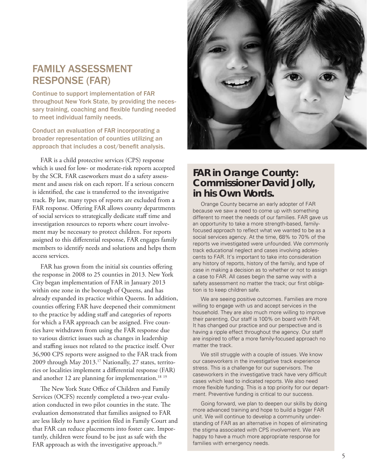# FAMILY ASSESSMENT RESPONSE (FAR)

Continue to support implementation of FAR throughout New York State, by providing the necessary training, coaching and flexible funding needed to meet individual family needs.

Conduct an evaluation of FAR incorporating a broader representation of counties utilizing an approach that includes a cost/benefit analysis.

FAR is a child protective services (CPS) response which is used for low- or moderate-risk reports accepted by the SCR. FAR caseworkers must do a safety assessment and assess risk on each report. If a serious concern is identified, the case is transferred to the investigative track. By law, many types of reports are excluded from a FAR response. Offering FAR allows county departments of social services to strategically dedicate staff time and investigation resources to reports where court involvement may be necessary to protect children. For reports assigned to this differential response, FAR engages family members to identify needs and solutions and helps them access services.

FAR has grown from the initial six counties offering the response in 2008 to 25 counties in 2013. New York City began implementation of FAR in January 2013 within one zone in the borough of Queens, and has already expanded its practice within Queens. In addition, counties offering FAR have deepened their commitment to the practice by adding staff and categories of reports for which a FAR approach can be assigned. Five counties have withdrawn from using the FAR response due to various district issues such as changes in leadership and staffing issues not related to the practice itself. Over 36,900 CPS reports were assigned to the FAR track from 2009 through May 2013.17 Nationally, 27 states, territories or localities implement a differential response (FAR) and another 12 are planning for implementation.<sup>18 19</sup>

The New York State Office of Children and Family Services (OCFS) recently completed a two-year evaluation conducted in two pilot counties in the state. The evaluation demonstrated that families assigned to FAR are less likely to have a petition filed in Family Court and that FAR can reduce placements into foster care. Importantly, children were found to be just as safe with the FAR approach as with the investigative approach.<sup>20</sup>



### **FAR in Orange County: Commissioner David Jolly, in his Own Words.**

Orange County became an early adopter of FAR because we saw a need to come up with something different to meet the needs of our families. FAR gave us an opportunity to take a more strength-based, familyfocused approach to reflect what we wanted to be as a social services agency. At the time, 68% to 70% of the reports we investigated were unfounded. We commonly track educational neglect and cases involving adolescents to FAR. It's important to take into consideration any history of reports, history of the family, and type of case in making a decision as to whether or not to assign a case to FAR. All cases begin the same way with a safety assessment no matter the track; our first obligation is to keep children safe.

We are seeing positive outcomes. Families are more willing to engage with us and accept services in the household. They are also much more willing to improve their parenting. Our staff is 100% on board with FAR. It has changed our practice and our perspective and is having a ripple effect throughout the agency. Our staff are inspired to offer a more family-focused approach no matter the track.

We still struggle with a couple of issues. We know our caseworkers in the investigative track experience stress. This is a challenge for our supervisors. The caseworkers in the investigative track have very difficult cases which lead to indicated reports. We also need more flexible funding. This is a top priority for our department. Preventive funding is critical to our success.

Going forward, we plan to deepen our skills by doing more advanced training and hope to build a bigger FAR unit. We will continue to develop a community understanding of FAR as an alternative in hopes of eliminating the stigma associated with CPS involvement. We are happy to have a much more appropriate response for families with emergency needs.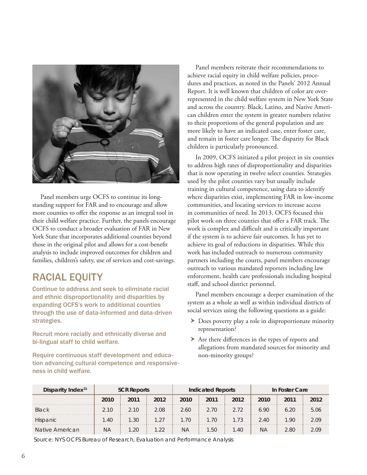

Panel members urge OCFS to continue its longstanding support for FAR and to encourage and allow more counties to offer the response as an integral tool in their child welfare practice. Further, the panels encourage OCFS to conduct a broader evaluation of FAR in New York State that incorporates additional counties beyond those in the original pilot and allows for a cost-benefit analysis to include improved outcomes for children and families, children's safety, use of services and cost-savings.

# RACIAL EQUITY

Continue to address and seek to eliminate racial and ethnic disproportionality and disparities by expanding OCFS's work to additional counties through the use of data-informed and data-driven strategies.

Recruit more racially and ethnically diverse and bi-lingual staff to child welfare.

Require continuous staff development and education advancing cultural competence and responsiveness in child welfare.

Panel members reiterate their recommendations to achieve racial equity in child welfare policies, procedures and practices, as noted in the Panels' 2012 Annual Report. It is well known that children of color are overrepresented in the child welfare system in New York State and across the country. Black, Latino, and Native American children enter the system in greater numbers relative to their proportions of the general population and are more likely to have an indicated case, enter foster care, and remain in foster care longer. The disparity for Black children is particularly pronounced.

In 2009, OCFS initiated a pilot project in six counties to address high rates of disproportionality and disparities that is now operating in twelve select counties. Strategies used by the pilot counties vary but usually include training in cultural competence, using data to identify where disparities exist, implementing FAR in low-income communities, and locating services to increase access in communities of need. In 2013, OCFS focused this pilot work on three counties that offer a FAR track. The work is complex and difficult and is critically important if the system is to achieve fair outcomes. It has yet to achieve its goal of reductions in disparities. While this work has included outreach to numerous community partners including the courts, panel members encourage outreach to various mandated reporters including law enforcement, health care professionals including hospital staff, and school district personnel.

Panel members encourage a deeper examination of the system as a whole as well as within individual districts of social services using the following questions as a guide:

- $\triangleright$  Does poverty play a role in disproportionate minority representation?
- $\triangleright$  Are there differences in the types of reports and allegations from mandated sources for minority and non-minority groups?

| Disparity Index <sup>21</sup> | <b>SCR Reports</b> |      |      | <b>Indicated Reports</b> |                |      | In Foster Care |      |      |
|-------------------------------|--------------------|------|------|--------------------------|----------------|------|----------------|------|------|
|                               | 2010               | 2011 | 2012 | 2010                     | 2011           | 2012 | 2010           | 2011 | 2012 |
| <b>Black</b>                  | 2.10               | 2.10 | 2.08 | 2.60                     | 2.70           | 2.72 | 6.90           | 6.20 | 5.06 |
| Hispanic                      | 1.40               | 1.30 | 1.27 | .70                      | 1.70           | 1.73 | 2.40           | 1.90 | 2.09 |
| Native American               | ΝA                 | .20  | 1.22 | ΝA                       | $1.50^{\circ}$ | l.40 | ΝA             | 2.80 | 2 09 |

Source: NYS OCFS Bureau of Research, Evaluation and Performance Analysis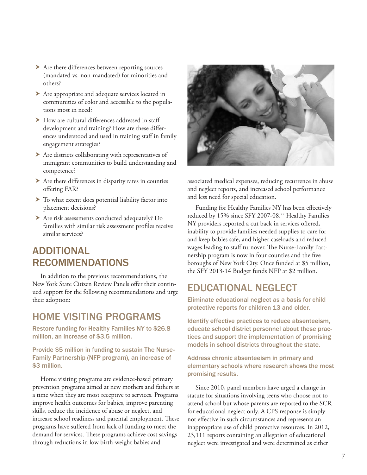- $\blacktriangleright$  Are there differences between reporting sources (mandated vs. non-mandated) for minorities and others?
- Are appropriate and adequate services located in communities of color and accessible to the populations most in need?
- $\blacktriangleright$  How are cultural differences addressed in staff development and training? How are these differences understood and used in training staff in family engagement strategies?
- $\blacktriangleright$  Are districts collaborating with representatives of immigrant communities to build understanding and competence?
- $\blacktriangleright$  Are there differences in disparity rates in counties offering FAR?
- $\blacktriangleright$  To what extent does potential liability factor into placement decisions?
- h Are risk assessments conducted adequately? Do families with similar risk assessment profiles receive similar services?

# ADDITIONAL RECOMMENDATIONS

In addition to the previous recommendations, the New York State Citizen Review Panels offer their continued support for the following recommendations and urge their adoption:

### HOME VISITING PROGRAMS

Restore funding for Healthy Families NY to \$26.8 million, an increase of \$3.5 million.

Provide \$5 million in funding to sustain The Nurse-Family Partnership (NFP program), an increase of \$3 million.

Home visiting programs are evidence-based primary prevention programs aimed at new mothers and fathers at a time when they are most receptive to services. Programs improve health outcomes for babies, improve parenting skills, reduce the incidence of abuse or neglect, and increase school readiness and parental employment. These programs have suffered from lack of funding to meet the demand for services. These programs achieve cost savings through reductions in low birth-weight babies and



associated medical expenses, reducing recurrence in abuse and neglect reports, and increased school performance and less need for special education.

Funding for Healthy Families NY has been effectively reduced by 15% since SFY 2007-08.<sup>22</sup> Healthy Families NY providers reported a cut back in services offered, inability to provide families needed supplies to care for and keep babies safe, and higher caseloads and reduced wages leading to staff turnover. The Nurse-Family Partnership program is now in four counties and the five boroughs of New York City. Once funded at \$5 million, the SFY 2013-14 Budget funds NFP at \$2 million.

### EDUCATIONAL NEGLECT

Eliminate educational neglect as a basis for child protective reports for children 13 and older.

Identify effective practices to reduce absenteeism, educate school district personnel about these practices and support the implementation of promising models in school districts throughout the state.

### Address chronic absenteeism in primary and elementary schools where research shows the most promising results.

Since 2010, panel members have urged a change in statute for situations involving teens who choose not to attend school but whose parents are reported to the SCR for educational neglect only. A CPS response is simply not effective in such circumstances and represents an inappropriate use of child protective resources. In 2012, 23,111 reports containing an allegation of educational neglect were investigated and were determined as either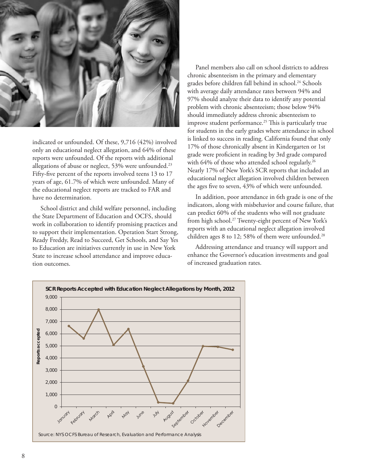

indicated or unfounded. Of these, 9,716 (42%) involved only an educational neglect allegation, and 64% of these reports were unfounded. Of the reports with additional allegations of abuse or neglect, 53% were unfounded.<sup>23</sup> Fifty-five percent of the reports involved teens 13 to 17 years of age, 61.7% of which were unfounded. Many of the educational neglect reports are tracked to FAR and have no determination.

School district and child welfare personnel, including the State Department of Education and OCFS, should work in collaboration to identify promising practices and to support their implementation. Operation Start Strong, Ready Freddy, Read to Succeed, Get Schools, and Say Yes to Education are initiatives currently in use in New York State to increase school attendance and improve education outcomes.

Panel members also call on school districts to address chronic absenteeism in the primary and elementary grades before children fall behind in school.<sup>24</sup> Schools with average daily attendance rates between 94% and 97% should analyze their data to identify any potential problem with chronic absenteeism; those below 94% should immediately address chronic absenteeism to improve student performance.<sup>25</sup> This is particularly true for students in the early grades where attendance in school is linked to success in reading. California found that only 17% of those chronically absent in Kindergarten or 1st grade were proficient in reading by 3rd grade compared with 64% of those who attended school regularly.<sup>26</sup> Nearly 17% of New York's SCR reports that included an educational neglect allegation involved children between the ages five to seven, 43% of which were unfounded.

In addition, poor attendance in 6th grade is one of the indicators, along with misbehavior and course failure, that can predict 60% of the students who will not graduate from high school.27 Twenty-eight percent of New York's reports with an educational neglect allegation involved children ages 8 to 12; 58% of them were unfounded.<sup>28</sup>

Addressing attendance and truancy will support and enhance the Governor's education investments and goal of increased graduation rates.

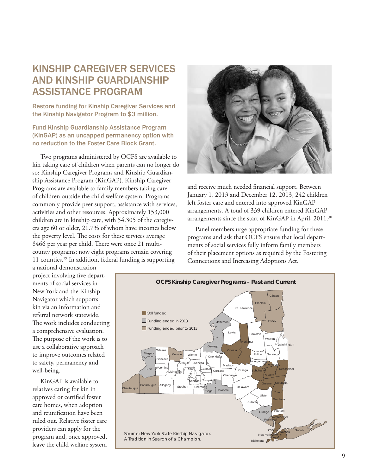# KINSHIP CAREGIVER SERVICES AND KINSHIP GUARDIANSHIP ASSISTANCE PROGRAM

Restore funding for Kinship Caregiver Services and the Kinship Navigator Program to \$3 million.

### Fund Kinship Guardianship Assistance Program (KinGAP) as an uncapped permanency option with no reduction to the Foster Care Block Grant.

Two programs administered by OCFS are available to kin taking care of children when parents can no longer do so: Kinship Caregiver Programs and Kinship Guardianship Assistance Program (KinGAP). Kinship Caregiver Programs are available to family members taking care of children outside the child welfare system. Programs commonly provide peer support, assistance with services, activities and other resources. Approximately 153,000 children are in kinship care, with 54,305 of the caregivers age 60 or older, 21.7% of whom have incomes below the poverty level. The costs for these services average \$466 per year per child. There were once 21 multicounty programs; now eight programs remain covering 11 counties.29 In addition, federal funding is supporting



and receive much needed financial support. Between January 1, 2013 and December 12, 2013, 242 children left foster care and entered into approved KinGAP arrangements. A total of 339 children entered KinGAP arrangements since the start of KinGAP in April, 2011.<sup>30</sup>

Panel members urge appropriate funding for these programs and ask that OCFS ensure that local departments of social services fully inform family members of their placement options as required by the Fostering Connections and Increasing Adoptions Act.

a national demonstration project involving five departments of social services in New York and the Kinship Navigator which supports kin via an information and referral network statewide. The work includes conducting a comprehensive evaluation. The purpose of the work is to use a collaborative approach to improve outcomes related to safety, permanency and well-being.

KinGAP is available to relatives caring for kin in approved or certified foster care homes, when adoption and reunification have been ruled out. Relative foster care providers can apply for the program and, once approved, leave the child welfare system

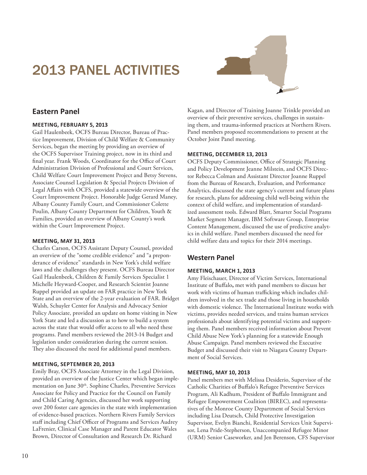# 2013 PANEL ACTIVITIES



### **Eastern Panel**

#### **MEETING, FEBRUARY 5, 2013**

Gail Haulenbeek, OCFS Bureau Director, Bureau of Practice Improvement, Division of Child Welfare & Community Services, began the meeting by providing an overview of the OCFS Supervisor Training project, now in its third and final year. Frank Woods, Coordinator for the Office of Court Administration Division of Professional and Court Services, Child Welfare Court Improvement Project and Betsy Stevens, Associate Counsel Legislation & Special Projects Division of Legal Affairs with OCFS, provided a statewide overview of the Court Improvement Project. Honorable Judge Gerard Maney, Albany County Family Court, and Commissioner Colette Poulin, Albany County Department for Children, Youth & Families, provided an overview of Albany County's work within the Court Improvement Project.

#### **MEETING, MAY 31, 2013**

Charles Carson, OCFS Assistant Deputy Counsel, provided an overview of the "some credible evidence" and "a preponderance of evidence" standards in New York's child welfare laws and the challenges they present. OCFS Bureau Director Gail Haulenbeek, Children & Family Services Specialist 1 Michelle Heyward-Cooper, and Research Scientist Joanne Ruppel provided an update on FAR practice in New York State and an overview of the 2-year evaluation of FAR. Bridget Walsh, Schuyler Center for Analysis and Advocacy Senior Policy Associate, provided an update on home visiting in New York State and led a discussion as to how to build a system across the state that would offer access to all who need these programs. Panel members reviewed the 2013-14 Budget and legislation under consideration during the current session. They also discussed the need for additional panel members.

#### **MEETING, SEPTEMBER 20, 2013**

Emily Bray, OCFS Associate Attorney in the Legal Division, provided an overview of the Justice Center which began implementation on June 30<sup>th</sup>. Sophine Charles, Preventive Services Associate for Policy and Practice for the Council on Family and Child Caring Agencies, discussed her work supporting over 200 foster care agencies in the state with implementation of evidence-based practices. Northern Rivers Family Services staff including Chief Officer of Programs and Services Audrey LaFrenier, Clinical Case Manager and Parent Educator Wales Brown, Director of Consultation and Research Dr. Richard

Kagan, and Director of Training Joanne Trinkle provided an overview of their preventive services, challenges in sustaining them, and trauma-informed practices at Northern Rivers. Panel members proposed recommendations to present at the October Joint Panel meeting.

#### **MEETING, DECEMBER 13, 2013**

OCFS Deputy Commissioner, Office of Strategic Planning and Policy Development Jeanne Milstein, and OCFS Director Rebecca Colman and Assistant Director Joanne Ruppel from the Bureau of Research, Evaluation, and Performance Analytics, discussed the state agency's current and future plans for research, plans for addressing child well-being within the context of child welfare, and implementation of standardized assessment tools. Edward Blatt, Smarter Social Programs Market Segment Manager, IBM Software Group, Enterprise Content Management, discussed the use of predictive analytics in child welfare. Panel members discussed the need for child welfare data and topics for their 2014 meetings.

### **Western Panel**

#### **MEETING, MARCH 1, 2013**

Amy Fleischauer, Director of Victim Services, International Institute of Buffalo**,** met with panel members to discuss her work with victims of human trafficking which includes children involved in the sex trade and those living in households with domestic violence. The International Institute works with victims, provides needed services, and trains human services professionals about identifying potential victims and supporting them. Panel members received information about Prevent Child Abuse New York's planning for a statewide Enough Abuse Campaign. Panel members reviewed the Executive Budget and discussed their visit to Niagara County Department of Social Services.

#### **MEETING, MAY 10, 2013**

Panel members met with Melissa Desiderio, Supervisor of the Catholic Charities of Buffalo's Refugee Preventive Services Program, Ali Kadhum, President of Buffalo Immigrant and Refugee Empowerment Coalition (BIREC), and representatives of the Monroe County Department of Social Services including Lisa Deutsch, Child Protective Investigation Supervisor, Evelyn Bianchi, Residential Services Unit Supervisor, Lena Pride-Stepherson, Unaccompanied Refugee Minor (URM) Senior Caseworker, and Jen Berenson, CFS Supervisor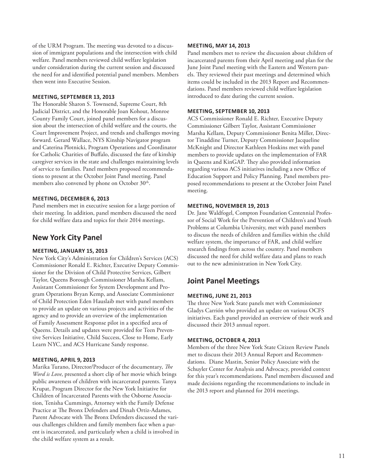of the URM Program. The meeting was devoted to a discussion of immigrant populations and the intersection with child welfare. Panel members reviewed child welfare legislation under consideration during the current session and discussed the need for and identified potential panel members. Members then went into Executive Session.

#### **MEETING, SEPTEMBER 13, 2013**

The Honorable Sharon S. Townsend, Supreme Court, 8th Judicial District, and the Honorable Joan Kohout, Monroe County Family Court, joined panel members for a discussion about the intersection of child welfare and the courts, the Court Improvement Project, and trends and challenges moving forward. Gerard Wallace, NYS Kinship Navigator program and Caterina Plotnicki, Program Operations and Coordinator for Catholic Charities of Buffalo, discussed the fate of kinship caregiver services in the state and challenges maintaining levels of service to families. Panel members proposed recommendations to present at the October Joint Panel meeting. Panel members also convened by phone on October 30<sup>th</sup>.

#### **MEETING, DECEMBER 6, 2013**

Panel members met in executive session for a large portion of their meeting. In addition, panel members discussed the need for child welfare data and topics for their 2014 meetings.

### **New York City Panel**

#### **MEETING, JANUARY 15, 2013**

New York City's Administration for Children's Services (ACS) Commissioner Ronald E. Richter, Executive Deputy Commissioner for the Division of Child Protective Services, Gilbert Taylor, Queens Borough Commissioner Marsha Kellam, Assistant Commissioner for System Development and Program Operations Bryan Kemp, and Associate Commissioner of Child Protection Eden Hauslaib met with panel members to provide an update on various projects and activities of the agency and to provide an overview of the implementation of Family Assessment Response pilot in a specified area of Queens. Details and updates were provided for Teen Preventive Services Initiative, Child Success, Close to Home, Early Learn NYC, and ACS Hurricane Sandy response.

#### **MEETING, APRIL 9, 2013**

Marika Turano, Director/Producer of the documentary, *The Word is Love*, presented a short clip of her movie which brings public awareness of children with incarcerated parents. Tanya Krupat, Program Director for the New York Initiative for Children of Incarcerated Parents with the Osborne Association, Tenisha Cummings, Attorney with the Family Defense Practice at The Bronx Defenders and Dinah Ortiz-Adames, Parent Advocate with The Bronx Defenders discussed the various challenges children and family members face when a parent is incarcerated, and particularly when a child is involved in the child welfare system as a result.

#### **MEETING, MAY 14, 2013**

Panel members met to review the discussion about children of incarcerated parents from their April meeting and plan for the June Joint Panel meeting with the Eastern and Western panels. They reviewed their past meetings and determined which items could be included in the 2013 Report and Recommendations. Panel members reviewed child welfare legislation introduced to date during the current session.

#### **MEETING, SEPTEMBER 10, 2013**

ACS Commissioner Ronald E. Richter, Executive Deputy Commissioner Gilbert Taylor, Assistant Commissioner Marsha Kellam, Deputy Commissioner Benita Miller, Director Tinaddine Turner, Deputy Commissioner Jacqueline McKnight and Director Kathleen Hoskins met with panel members to provide updates on the implementation of FAR in Queens and KinGAP. They also provided information regarding various ACS initiatives including a new Office of Education Support and Policy Planning. Panel members proposed recommendations to present at the October Joint Panel meeting.

#### **MEETING, NOVEMBER 19, 2013**

Dr. Jane Waldfogel, Compton Foundation Centennial Professor of Social Work for the Prevention of Children's and Youth Problems at Columbia University, met with panel members to discuss the needs of children and families within the child welfare system, the importance of FAR, and child welfare research findings from across the country. Panel members discussed the need for child welfare data and plans to reach out to the new administration in New York City.

### **Joint Panel Meetings**

#### **MEETING, JUNE 21, 2013**

The three New York State panels met with Commissioner Gladys Carrión who provided an update on various OCFS initiatives. Each panel provided an overview of their work and discussed their 2013 annual report.

#### **MEETING, OCTOBER 4, 2013**

Members of the three New York State Citizen Review Panels met to discuss their 2013 Annual Report and Recommendations. Diane Mastin, Senior Policy Associate with the Schuyler Center for Analysis and Advocacy, provided context for this year's recommendations. Panel members discussed and made decisions regarding the recommendations to include in the 2013 report and planned for 2014 meetings.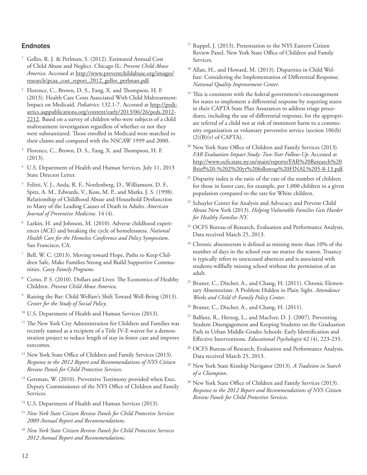### Endnotes

- <sup>1</sup> Gelles, R. J. & Perlman, S. (2012). Estimated Annual Cost of Child Abuse and Neglect. Chicago IL: *Prevent Child Abuse America*. Accessed at http://[www.preventchildabuse.org/images/](http://www.preventchildabuse.org/images/research/pcaa_cost_report_2012_gelles_perlman.pdf) [research/pcaa\\_cost\\_report\\_2012\\_gelles\\_perlman.pdf.](http://www.preventchildabuse.org/images/research/pcaa_cost_report_2012_gelles_perlman.pdf)
- <sup>2</sup> Florence, C., Brown, D. S., Fang, X. and Thompson, H. F. (2013). Health Care Costs Associated With Child Maltreatment: Impact on Medicaid. *Pediatrics;* 132.1-7. Accessed at [http://pedi](http://pediatrics.aappublications.org/content/early/2013/06/26/peds.2012-2212)[atrics.aappublications.org/content/early/2013/06/26/peds.2012-](http://pediatrics.aappublications.org/content/early/2013/06/26/peds.2012-2212) [2212](http://pediatrics.aappublications.org/content/early/2013/06/26/peds.2012-2212). Based on a survey of children who were subjects of a child maltreatment investigation regardless of whether or not they were substantiated. Those enrolled in Medicaid were matched to their claims and compared with the NSCAW 1999 and 2000.
- Florence, C., Brown, D. S., Fang, X. and Thompson, H. F. (2013).
- <sup>4</sup> U.S. Department of Health and Human Services. July 11, 2013 State Director Letter.
- <sup>5</sup> Felitti, V. J., Anda, R. F., Nordenberg, D., Williamson, D. F., Spitz, A. M., Edwards, V., Koss, M. P., and Marks, J. S. (1998). Relationship of Childhood Abuse and Household Dysfunction to Many of the Leading Causes of Death in Adults. *American Journal of Preventive Medicine*. 14 (4).
- <sup>6</sup> Larkin, H. and Johnson, M. (2010). Adverse childhood experiences (ACE) and breaking the cycle of homelessness. *National Health Care for the Homeless Conference and Policy Symposium*. San Francisco, CA.
- <sup>7</sup> Bell, W. C. (2013). Moving toward Hope, Paths to Keep Children Safe, Make Families Strong and Build Supportive Communities. *Casey Family Programs.*
- <sup>8</sup> Corso, P. S. (2010). Dollars and Lives: The Economics of Healthy Children. *Prevent Child Abuse America*.
- <sup>9</sup> Raising the Bar: Child Welfare's Shift Toward Well-Being (2013). *Center for the Study of Social Policy*.
- <sup>10</sup> U.S. Department of Health and Human Services (2013).
- <sup>11</sup> The New York City Administration for Children and Families was recently named as a recipient of a Title IV-E waiver for a demonstration project to reduce length of stay in foster care and improve outcomes.
- <sup>12</sup> New York State Office of Children and Family Services (2013). *Response to the 2012 Report and Recommendations of NYS Citizen Review Panels for Child Protective Services*.
- <sup>13</sup> Gettman, W. (2010). Preventive Testimony provided when Exec. Deputy Commissioner of the NYS Office of Children and Family Services.
- <sup>14</sup> U.S. Department of Health and Human Services (2013).
- <sup>15</sup> *New York State Citizen Review Panels for Child Protective Services 2009 Annual Report and Recommendations*.
- <sup>16</sup> *New York State Citizen Review Panels for Child Protective Services 2012 Annual Report and Recommendations*.
- <sup>17</sup> Ruppel, J. (2013). Presentation to the NYS Eastern Citizen Review Panel. New York State Office of Children and Family Services.
- <sup>18</sup> Allan, H., and Howard, M. (2013). Disparities in Child Welfare: Considering the Implementation of Differential Response. *National Quality Improvement Center*.
- <sup>19</sup> This is consistent with the federal government's encouragement for states to implement a differential response by requiring states in their CAPTA State Plan Assurances to address triage procedures, including the use of differential response, for the appropriate referral of a child not at risk of imminent harm to a community organization or voluntary preventive service (section 106(b)  $(2)(B)(v)$  of CAPTA).
- <sup>20</sup> New York State Office of Children and Family Services (2013). *FAR Evaluation Impact Study: Two-Year Follow-Up*. Accessed at [http://www.ocfs.state.ny.us/main/reports/FAR%20Research%20](http://www.ocfs.state.ny.us/main/reports/FAR%20Research%20Brief%20-%202%20yr%20followup%20FINAL%205-8-13.pdf) [Brief%20-%202%20yr%20followup%20FINAL%205-8-13.pdf](http://www.ocfs.state.ny.us/main/reports/FAR%20Research%20Brief%20-%202%20yr%20followup%20FINAL%205-8-13.pdf).
- <sup>21</sup> Disparity index is the ratio of the rate of the number of children for those in foster care, for example, per 1,000 children in a given population compared to the rate for White children.
- <sup>22</sup> Schuyler Center for Analysis and Advocacy and Prevent Child Abuse New York (2013). *Helping Vulnerable Families Gets Harder for Healthy Families NY*.
- <sup>23</sup> OCFS Bureau of Research, Evaluation and Performance Analysis. Data received March 25, 2013.
- <sup>24</sup> Chronic absenteeism is defined as missing more than 10% of the number of days in the school year no matter the reason. Truancy is typically refers to unexcused absences and is associated with students willfully missing school without the permission of an adult.
- <sup>25</sup> Bruner, C., Discher, A., and Chang, H. (2011). Chronic Elementary Absenteeism: A Problem Hidden in Plain Sight. *Attendance Works and Child & Family Policy Center*.
- <sup>26</sup> Bruner, C., Discher, A., and Chang, H. (2011).
- <sup>27</sup> Balfanz, R., Herzog, L., and MacIver, D. J. (2007). Preventing Student Disengagement and Keeping Students on the Graduation Path in Urban Middle-Grades Schools: Early Identification and Effective Interventions. *Educational Psychologist* 42 (4), 223-235.
- <sup>28</sup> OCFS Bureau of Research, Evaluation and Performance Analysis. Data received March 25, 2013.
- <sup>29</sup> New York State Kinship Navigator (2013). *A Tradition in Search of a Champion*.
- <sup>30</sup> New York State Office of Children and Family Services (2013). *Response to the 2012 Report and Recommendations of NYS Citizen Review Panels for Child Protective Services*.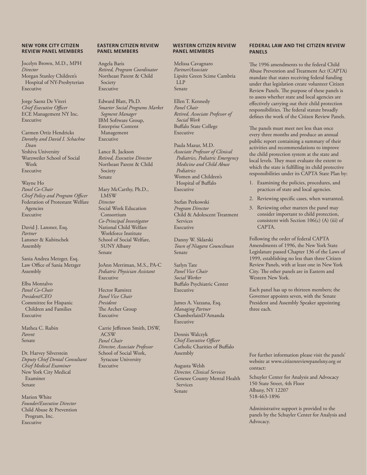#### **NEW YORK CITY CITIZEN REVIEW PANEL MEMBERS**

Jocelyn Brown, M.D., MPH *Director* Morgan Stanley Children's Hospital of NY-Presbyterian Executive

Jorge Saenz De Viteri *Chief Executive Officer* ECE Management NY Inc. Executive

Carmen Ortiz Hendricks *Dorothy and David I. Schachne Dean* Yeshiva University Wurzweiler School of Social Work Executive

Wayne Ho *Panel Co-Chair Chief Policy and Program Officer* Federation of Protestant Welfare Agencies Executive

David J. Lansner, Esq. *Partner* Lansner & Kubitschek Assembly

Sania Andrea Metzger, Esq. Law Office of Sania Metzger Assembly

Elba Montalvo *Panel Co-Chair President/CEO* Committee for Hispanic Children and Families Executive

Mathea C. Rubin *Parent* Senate

Dr. Harvey Silverstein *Deputy Chief Dental Consultant Chief Medical Examiner* New York City Medical Examiner Senate

Marion White *Founder/Executive Director* Child Abuse & Prevention Program, Inc. Executive

#### **EASTERN CITIZEN REVIEW PANEL MEMBERS**

Angela Baris *Retired, Program Coordinator* Northeast Parent & Child Society Executive

Edward Blatt, Ph.D. *Smarter Social Programs Market Segment Manager* IBM Software Group, Enterprise Content Management Executive

Lance R. Jackson *Retired, Executive Director* Northeast Parent & Child Society Senate

Mary McCarthy, Ph.D., LMSW *Director* Social Work Education Consortium *Co-Principal Investigator* National Child Welfare Workforce Institute School of Social Welfare, SUNY Albany Senate

JoAnn Merriman, M.S., PA-C *Pediatric Physician Assistant* Executive

Hector Ramirez *Panel Vice Chair President* The Archer Group Executive

Carrie Jefferson Smith, DSW, ACSW *Panel Chair Director, Associate Professor* School of Social Work, Syracuse University Executive

#### **WESTERN CITIZEN REVIEW PANEL MEMBERS**

Melissa Cavagnaro *Partner/Associate* Lipsitz Green Scime Cambria LLP Senate

Ellen T. Kennedy *Panel Chair Retired, Associate Professor of Social Work* Buffalo State College Executive

Paula Mazur, M.D. *Associate Professor of Clinical Pediatrics, Pediatric Emergency Medicine and Child Abuse Pediatrics* Women and Children's Hospital of Buffalo Executive

Stefan Perkowski *Program Director* Child & Adolescent Treatment Services Executive

Danny W. Sklarski *Town of Niagara Councilman* Senate

Sarlyn Tate *Panel Vice Chair Social Worker* Buffalo Psychiatric Center Executive

James A. Vazzana, Esq. *Managing Partner* ChamberlainD'Amanda Executive

Dennis Walczyk *Chief Executive Officer* Catholic Charities of Buffalo Assembly

Augusta Welsh *Director, Clinical Services* Genesee County Mental Health Services Senate

#### **FEDERAL LAW AND THE CITIZEN REVIEW PANELS**

The 1996 amendments to the federal Child Abuse Prevention and Treatment Act (CAPTA) mandate that states receiving federal funding under that legislation create volunteer Citizen Review Panels. The purpose of these panels is to assess whether state and local agencies are effectively carrying out their child protection responsibilities. The federal statute broadly defines the work of the Citizen Review Panels.

The panels must meet not less than once every three months and produce an annual public report containing a summary of their activities and recommendations to improve the child protection system at the state and local levels. They must evaluate the extent to which the state is fulfilling its child protective responsibilities under its CAPTA State Plan by:

- 1. Examining the policies, procedures, and practices of state and local agencies.
- 2. Reviewing specific cases, when warranted.
- 3. Reviewing other matters the panel may consider important to child protection, consistent with Section 106(c) (A) (iii) of **CAPTA**

Following the order of federal CAPTA Amendments of 1996, the New York State Legislature passed Chapter 136 of the Laws of 1999, establishing no less than three Citizen Review Panels, with at least one in New York City. The other panels are in Eastern and Western New York.

Each panel has up to thirteen members; the Governor appoints seven, with the Senate President and Assembly Speaker appointing three each.

For further information please visit the panels' website at www.citizenreviewpanelsny.org or contact:

Schuyler Center for Analysis and Advocacy 150 State Street, 4th Floor Albany, NY 12207 518-463-1896

Administrative support is provided to the panels by the Schuyler Center for Analysis and Advocacy.